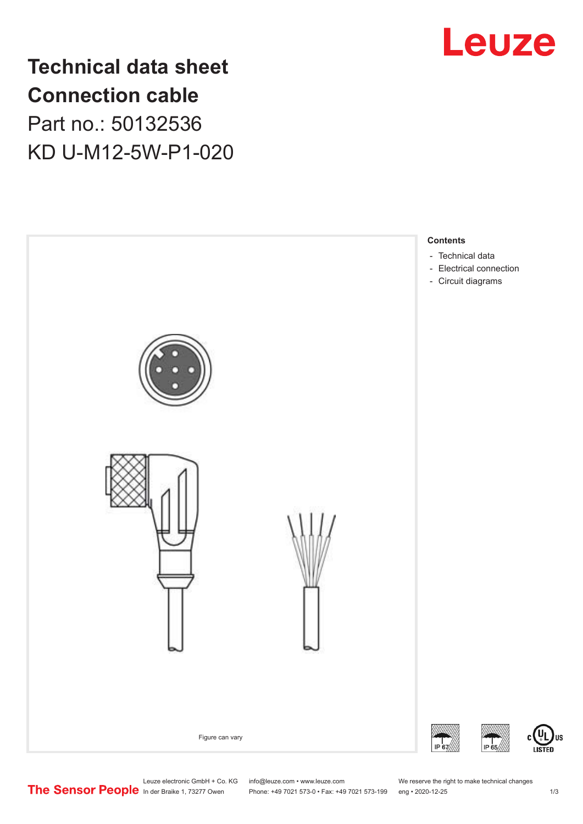

**Technical data sheet Connection cable** Part no.: 50132536 KD U-M12-5W-P1-020



Leuze electronic GmbH + Co. KG info@leuze.com • www.leuze.com We reserve the right to make technical changes<br>
The Sensor People in der Braike 1, 73277 Owen Phone: +49 7021 573-0 • Fax: +49 7021 573-199 eng • 2020-12-25 Phone: +49 7021 573-0 • Fax: +49 7021 573-199 eng • 2020-12-25 1 2020-12-25

US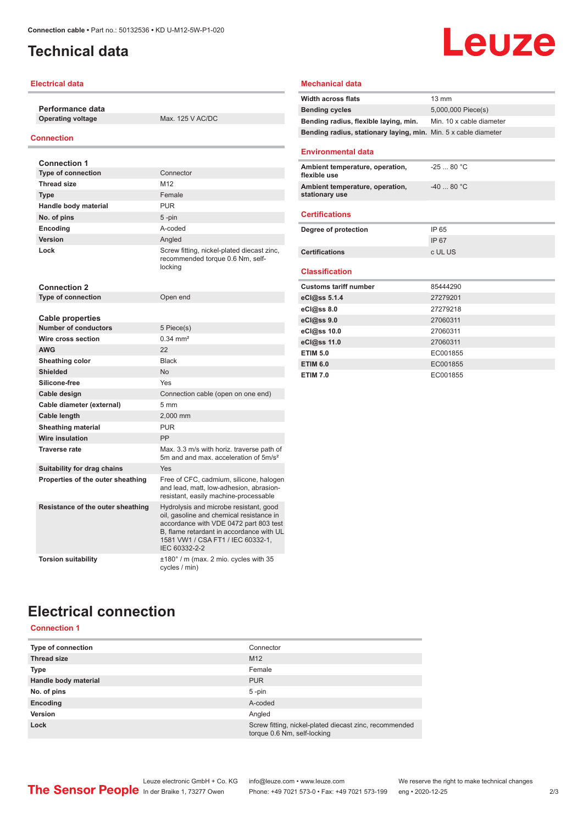## <span id="page-1-0"></span>**Technical data**

### **Electrical data**

**Performance data Operating voltage** Max. 125 V AC/DC

### **Connection**

| <b>Connection 1</b>               |                                                                                                                                                                                                                                |
|-----------------------------------|--------------------------------------------------------------------------------------------------------------------------------------------------------------------------------------------------------------------------------|
| <b>Type of connection</b>         | Connector                                                                                                                                                                                                                      |
| <b>Thread size</b>                | M12                                                                                                                                                                                                                            |
| <b>Type</b>                       | Female                                                                                                                                                                                                                         |
| Handle body material              | <b>PUR</b>                                                                                                                                                                                                                     |
| No. of pins                       | $5 - pin$                                                                                                                                                                                                                      |
| <b>Encoding</b>                   | A-coded                                                                                                                                                                                                                        |
| Version                           | Angled                                                                                                                                                                                                                         |
| Lock                              | Screw fitting, nickel-plated diecast zinc,<br>recommended torque 0.6 Nm, self-<br>locking                                                                                                                                      |
| <b>Connection 2</b>               |                                                                                                                                                                                                                                |
| <b>Type of connection</b>         | Open end                                                                                                                                                                                                                       |
|                                   |                                                                                                                                                                                                                                |
| <b>Cable properties</b>           |                                                                                                                                                                                                                                |
| <b>Number of conductors</b>       | 5 Piece(s)                                                                                                                                                                                                                     |
| Wire cross section                | $0.34 \, \text{mm}^2$                                                                                                                                                                                                          |
| <b>AWG</b>                        | 22                                                                                                                                                                                                                             |
| Sheathing color                   | <b>Black</b>                                                                                                                                                                                                                   |
| <b>Shielded</b>                   | <b>No</b>                                                                                                                                                                                                                      |
| Silicone-free                     | Yes                                                                                                                                                                                                                            |
| Cable design                      | Connection cable (open on one end)                                                                                                                                                                                             |
| Cable diameter (external)         | 5 mm                                                                                                                                                                                                                           |
| Cable length                      | 2,000 mm                                                                                                                                                                                                                       |
| <b>Sheathing material</b>         | <b>PUR</b>                                                                                                                                                                                                                     |
| <b>Wire insulation</b>            | PP                                                                                                                                                                                                                             |
| <b>Traverse rate</b>              | Max. 3.3 m/s with horiz. traverse path of<br>5m and and max, acceleration of 5m/s <sup>2</sup>                                                                                                                                 |
| Suitability for drag chains       | Yes                                                                                                                                                                                                                            |
| Properties of the outer sheathing | Free of CFC, cadmium, silicone, halogen<br>and lead, matt, low-adhesion, abrasion-<br>resistant, easily machine-processable                                                                                                    |
| Resistance of the outer sheathing | Hydrolysis and microbe resistant, good<br>oil, gasoline and chemical resistance in<br>accordance with VDE 0472 part 803 test<br>B. flame retardant in accordance with UL<br>1581 VW1 / CSA FT1 / IEC 60332-1,<br>IEC 60332-2-2 |
| <b>Torsion suitability</b>        | $\pm 180^\circ$ / m (max. 2 mio. cycles with 35<br>cycles / min)                                                                                                                                                               |

### **Mechanical data**

| <b>Width across flats</b>                                       | $13 \text{ mm}$          |  |
|-----------------------------------------------------------------|--------------------------|--|
| <b>Bending cycles</b>                                           | 5,000,000 Piece(s)       |  |
| Bending radius, flexible laying, min.                           | Min. 10 x cable diameter |  |
| Bending radius, stationary laying, min. Min. 5 x cable diameter |                          |  |
| <b>Environmental data</b>                                       |                          |  |
| Ambient temperature, operation,<br>flexible use                 | $-2580 °C$               |  |
| Ambient temperature, operation,<br>stationary use               | $-4080 °C$               |  |
| <b>Certifications</b>                                           |                          |  |
| Degree of protection                                            | IP 65                    |  |
|                                                                 | IP 67                    |  |
| <b>Certifications</b>                                           | c UL US                  |  |
| <b>Classification</b>                                           |                          |  |
| <b>Customs tariff number</b>                                    | 85444290                 |  |
| eCl@ss 5.1.4                                                    | 27279201                 |  |
| eC <sub>1</sub> @ss 8.0                                         | 27279218                 |  |
| eCl@ss 9.0                                                      | 27060311                 |  |
| eCl@ss 10.0                                                     | 27060311                 |  |
| eCl@ss 11.0                                                     | 27060311                 |  |
| <b>ETIM 5.0</b>                                                 | EC001855                 |  |
| <b>ETIM 6.0</b>                                                 | EC001855                 |  |
| <b>ETIM 7.0</b>                                                 | EC001855                 |  |

## **Electrical connection**

## **Connection 1**

| <b>Type of connection</b> | Connector                                                                             |
|---------------------------|---------------------------------------------------------------------------------------|
| <b>Thread size</b>        | M <sub>12</sub>                                                                       |
| <b>Type</b>               | Female                                                                                |
| Handle body material      | <b>PUR</b>                                                                            |
| No. of pins               | $5$ -pin                                                                              |
| Encoding                  | A-coded                                                                               |
| Version                   | Angled                                                                                |
| Lock                      | Screw fitting, nickel-plated diecast zinc, recommended<br>torque 0.6 Nm, self-locking |

# Leuze